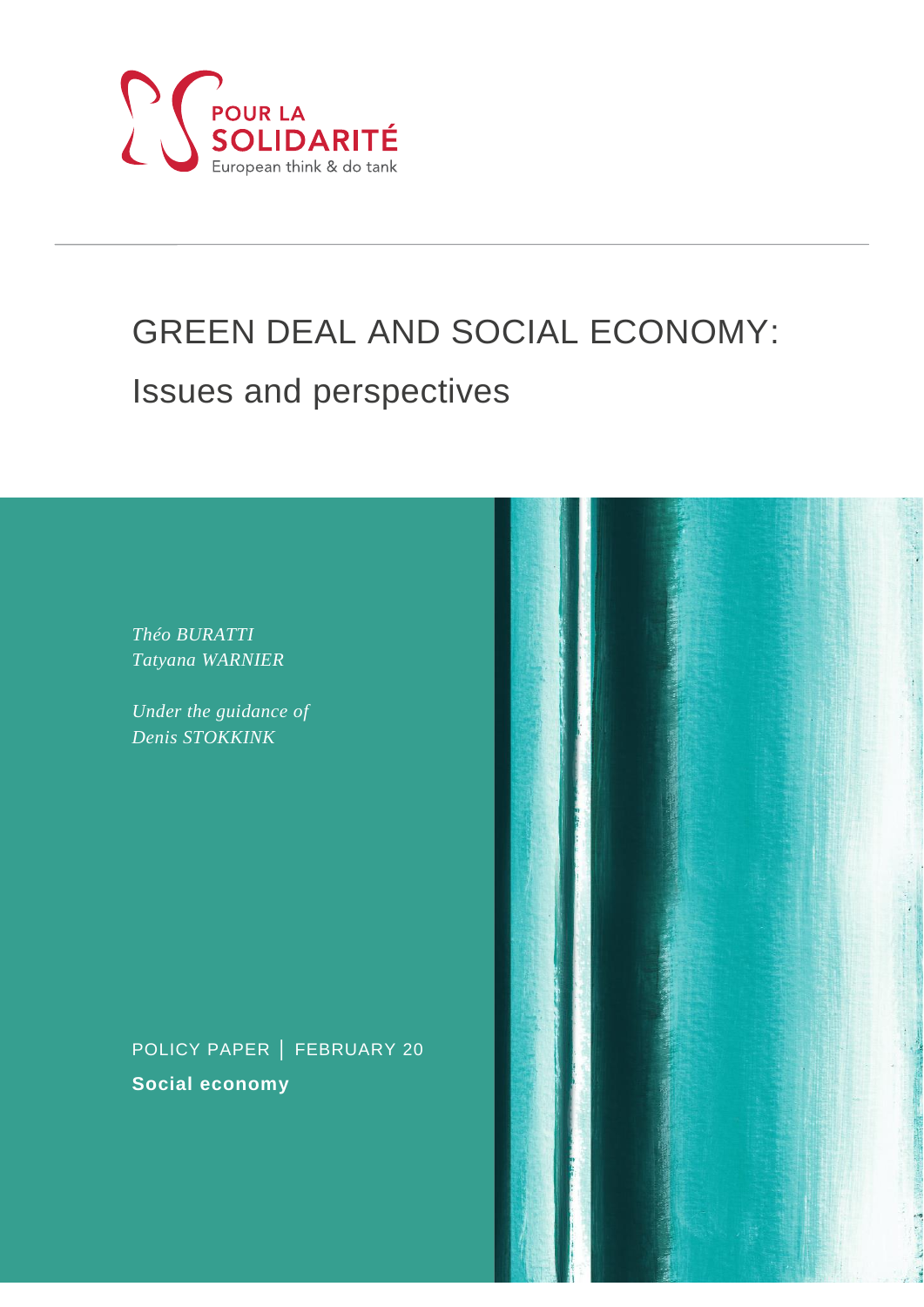

# GREEN DEAL AND SOCIAL ECONOMY: Issues and perspectives

*Théo BURATTI Tatyana WARNIER*

*Under the guidance of Denis STOKKINK*

POLICY PAPER │ FEBRUARY 20 **Social economy**

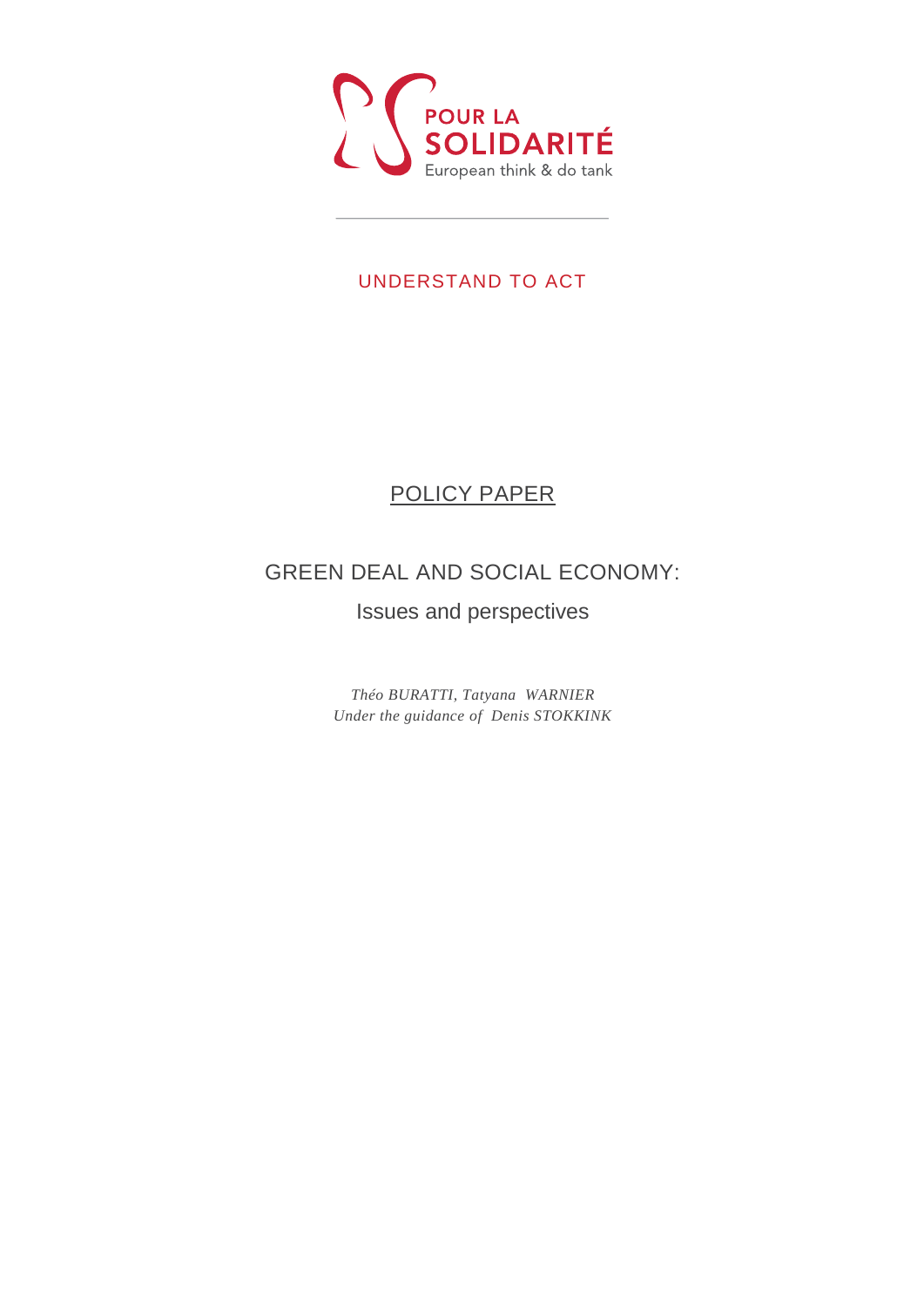

### UNDERSTAND TO ACT

## POLICY PAPER

## GREEN DEAL AND SOCIAL ECONOMY:

### Issues and perspectives

*Théo BURATTI, Tatyana WARNIER Under the guidance of Denis STOKKINK*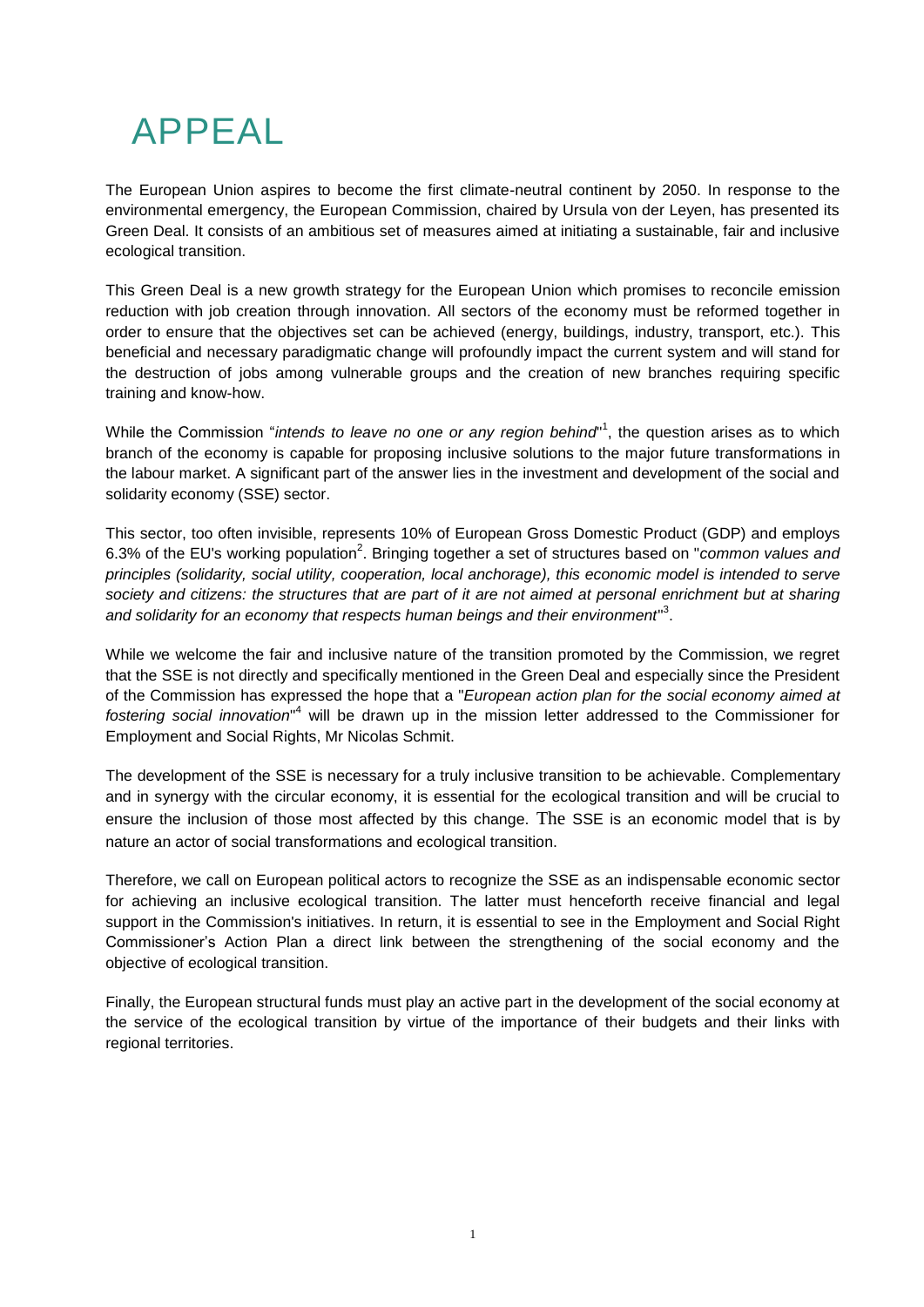# APPEAL

The European Union aspires to become the first climate-neutral continent by 2050. In response to the environmental emergency, the European Commission, chaired by Ursula von der Leyen, has presented its Green Deal. It consists of an ambitious set of measures aimed at initiating a sustainable, fair and inclusive ecological transition.

This Green Deal is a new growth strategy for the European Union which promises to reconcile emission reduction with job creation through innovation. All sectors of the economy must be reformed together in order to ensure that the objectives set can be achieved (energy, buildings, industry, transport, etc.). This beneficial and necessary paradigmatic change will profoundly impact the current system and will stand for the destruction of jobs among vulnerable groups and the creation of new branches requiring specific training and know-how.

While the Commission "*intends to leave no one or any region behind*" 1 , the question arises as to which branch of the economy is capable for proposing inclusive solutions to the major future transformations in the labour market. A significant part of the answer lies in the investment and development of the social and solidarity economy (SSE) sector.

This sector, too often invisible, represents 10% of European Gross Domestic Product (GDP) and employs 6.3% of the EU's working population<sup>2</sup>. Bringing together a set of structures based on "*common values and principles (solidarity, social utility, cooperation, local anchorage), this economic model is intended to serve society and citizens: the structures that are part of it are not aimed at personal enrichment but at sharing and solidarity for an economy that respects human beings and their environment*" 3 .

While we welcome the fair and inclusive nature of the transition promoted by the Commission, we regret that the SSE is not directly and specifically mentioned in the Green Deal and especially since the President of the Commission has expressed the hope that a "*European action plan for the social economy aimed at fostering social innovation*" <sup>4</sup> will be drawn up in the mission letter addressed to the Commissioner for Employment and Social Rights, Mr Nicolas Schmit.

The development of the SSE is necessary for a truly inclusive transition to be achievable. Complementary and in synergy with the circular economy, it is essential for the ecological transition and will be crucial to ensure the inclusion of those most affected by this change. The SSE is an economic model that is by nature an actor of social transformations and ecological transition.

Therefore, we call on European political actors to recognize the SSE as an indispensable economic sector for achieving an inclusive ecological transition. The latter must henceforth receive financial and legal support in the Commission's initiatives. In return, it is essential to see in the Employment and Social Right Commissioner's Action Plan a direct link between the strengthening of the social economy and the objective of ecological transition.

Finally, the European structural funds must play an active part in the development of the social economy at the service of the ecological transition by virtue of the importance of their budgets and their links with regional territories.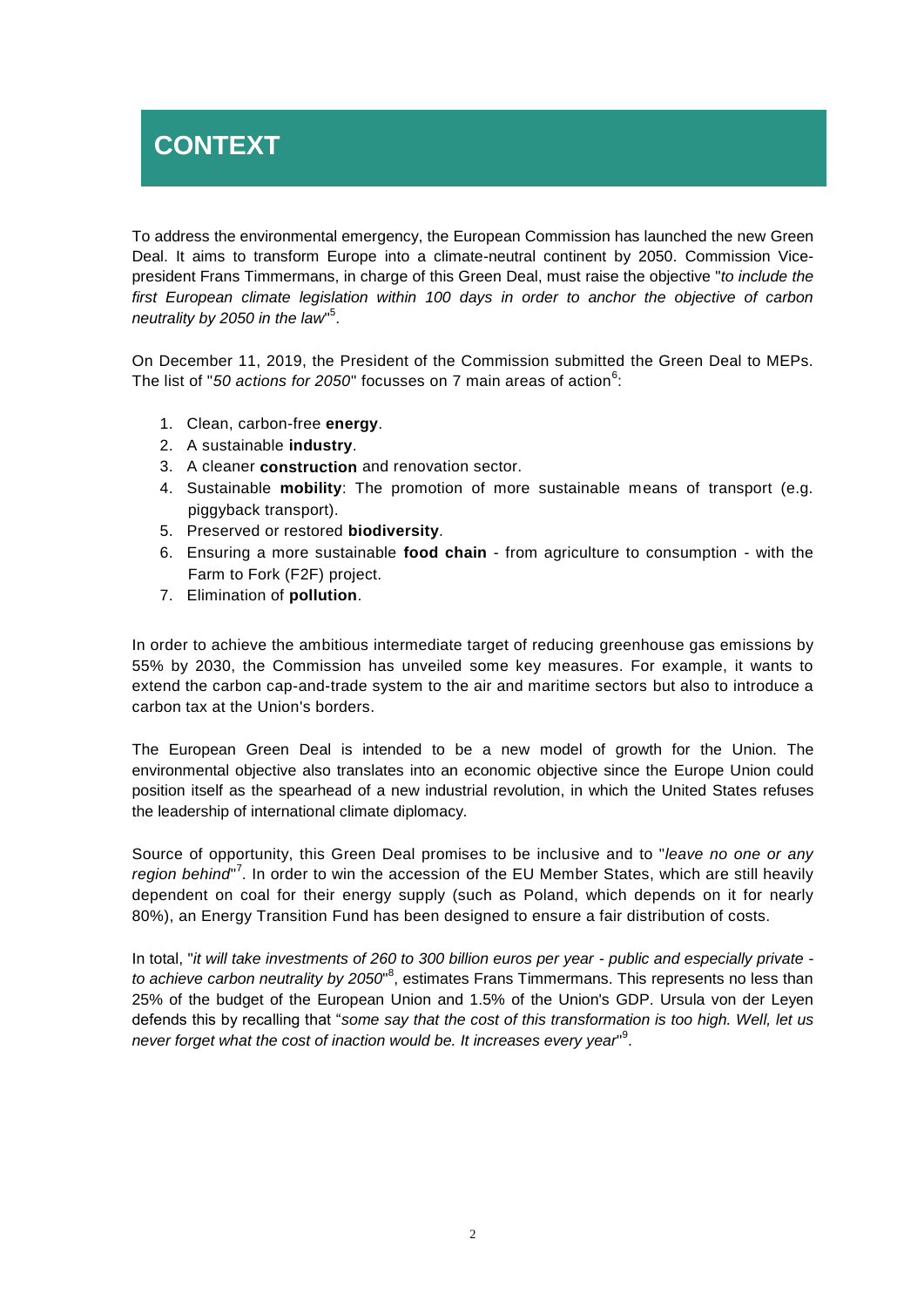# **CONTEXT**

To address the environmental emergency, the European Commission has launched the new Green Deal. It aims to transform Europe into a climate-neutral continent by 2050. Commission Vicepresident Frans Timmermans, in charge of this Green Deal, must raise the objective "*to include the first European climate legislation within 100 days in order to anchor the objective of carbon neutrality by 2050 in the law*" 5 .

On December 11, 2019, the President of the Commission submitted the Green Deal to MEPs. The list of "50 ac*tions for 2050*" focusses on 7 main areas of action<sup>6</sup>:

- 1. Clean, carbon-free **energy**.
- 2. A sustainable **industry**.
- 3. A cleaner **construction** and renovation sector.
- 4. Sustainable **mobility**: The promotion of more sustainable means of transport (e.g. piggyback transport).
- 5. Preserved or restored **biodiversity**.
- 6. Ensuring a more sustainable **food chain** from agriculture to consumption with the Farm to Fork (F2F) project.
- 7. Elimination of **pollution**.

In order to achieve the ambitious intermediate target of reducing greenhouse gas emissions by 55% by 2030, the Commission has unveiled some key measures. For example, it wants to extend the carbon cap-and-trade system to the air and maritime sectors but also to introduce a carbon tax at the Union's borders.

The European Green Deal is intended to be a new model of growth for the Union. The environmental objective also translates into an economic objective since the Europe Union could position itself as the spearhead of a new industrial revolution, in which the United States refuses the leadership of international climate diplomacy.

Source of opportunity, this Green Deal promises to be inclusive and to "*leave no one or any* region behind<sup>"7</sup>. In order to win the accession of the EU Member States, which are still heavily dependent on coal for their energy supply (such as Poland, which depends on it for nearly 80%), an Energy Transition Fund has been designed to ensure a fair distribution of costs.

In total, "*it will take investments of 260 to 300 billion euros per year - public and especially private*  to achieve carbon neutrality by 2050<sup>®</sup>, estimates Frans Timmermans. This represents no less than 25% of the budget of the European Union and 1.5% of the Union's GDP. Ursula von der Leyen defends this by recalling that "*some say that the cost of this transformation is too high. Well, let us*  never forget what the cost of inaction would be. It increases every year<sup>19</sup>.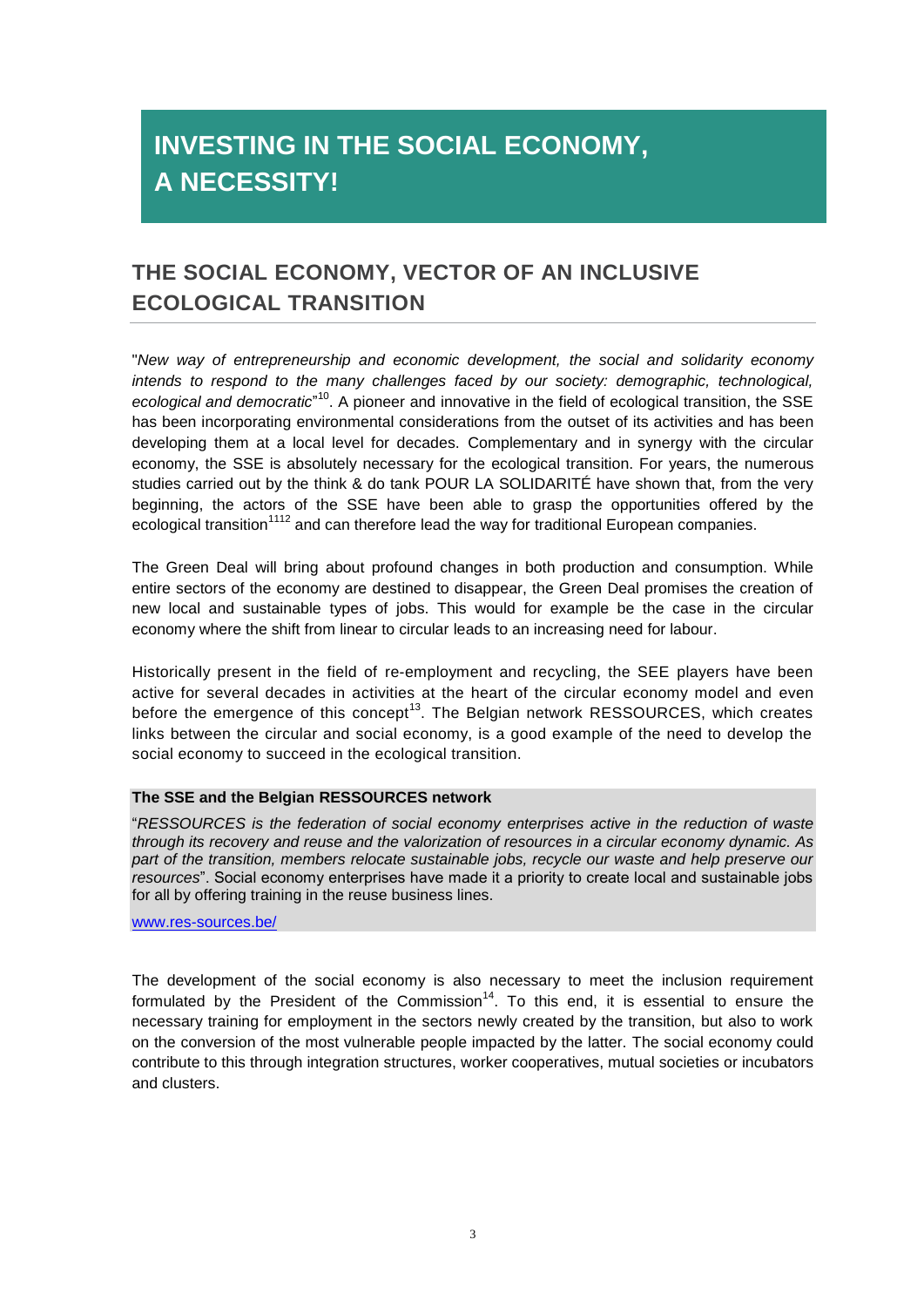# **INVESTING IN THE SOCIAL ECONOMY, A NECESSITY!**

### **THE SOCIAL ECONOMY, VECTOR OF AN INCLUSIVE ECOLOGICAL TRANSITION**

"*New way of entrepreneurship and economic development, the social and solidarity economy intends to respond to the many challenges faced by our society: demographic, technological, ecological and democratic*" <sup>10</sup>. A pioneer and innovative in the field of ecological transition, the SSE has been incorporating environmental considerations from the outset of its activities and has been developing them at a local level for decades. Complementary and in synergy with the circular economy, the SSE is absolutely necessary for the ecological transition. For years, the numerous studies carried out by the think & do tank POUR LA SOLIDARITÉ have shown that, from the very beginning, the actors of the SSE have been able to grasp the opportunities offered by the ecological transition<sup>1112</sup> and can therefore lead the way for traditional European companies.

The Green Deal will bring about profound changes in both production and consumption. While entire sectors of the economy are destined to disappear, the Green Deal promises the creation of new local and sustainable types of jobs. This would for example be the case in the circular economy where the shift from linear to circular leads to an increasing need for labour.

Historically present in the field of re-employment and recycling, the SEE players have been active for several decades in activities at the heart of the circular economy model and even before the emergence of this concept<sup>13</sup>. The Belgian network RESSOURCES, which creates links between the circular and social economy, is a good example of the need to develop the social economy to succeed in the ecological transition.

#### **The SSE and the Belgian RESSOURCES network**

"*RESSOURCES is the federation of social economy enterprises active in the reduction of waste through its recovery and reuse and the valorization of resources in a circular economy dynamic. As part of the transition, members relocate sustainable jobs, recycle our waste and help preserve our resources*". Social economy enterprises have made it a priority to create local and sustainable jobs for all by offering training in the reuse business lines.

#### [www.res-sources.be/](http://www.res-sources.be/)

The development of the social economy is also necessary to meet the inclusion requirement formulated by the President of the Commission<sup>14</sup>. To this end, it is essential to ensure the necessary training for employment in the sectors newly created by the transition, but also to work on the conversion of the most vulnerable people impacted by the latter. The social economy could contribute to this through integration structures, worker cooperatives, mutual societies or incubators and clusters.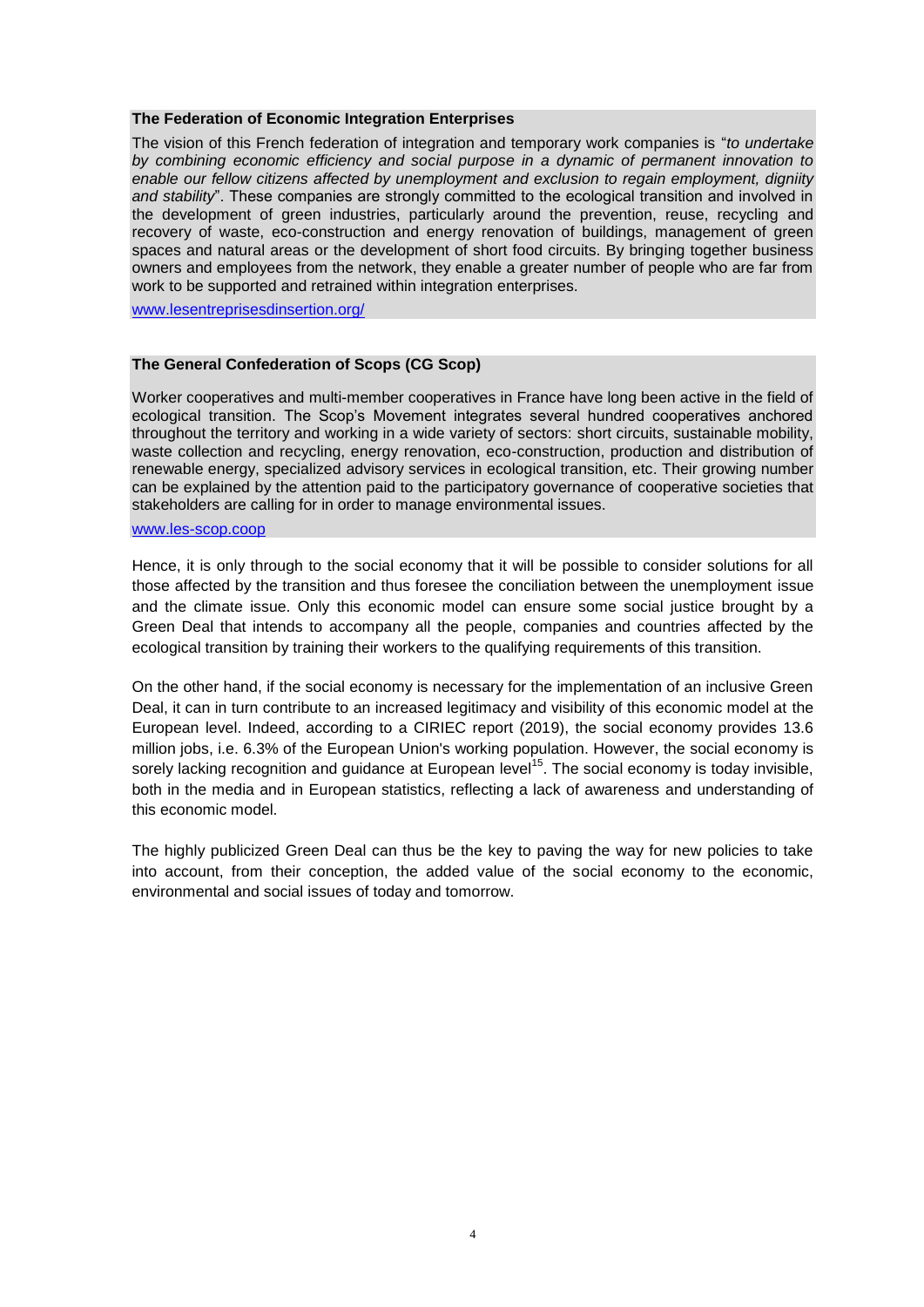#### **The Federation of Economic Integration Enterprises**

The vision of this French federation of integration and temporary work companies is "*to undertake by combining economic efficiency and social purpose in a dynamic of permanent innovation to enable our fellow citizens affected by unemployment and exclusion to regain employment, digniity*  and stability". These companies are strongly committed to the ecological transition and involved in the development of green industries, particularly around the prevention, reuse, recycling and recovery of waste, eco-construction and energy renovation of buildings, management of green spaces and natural areas or the development of short food circuits. By bringing together business owners and employees from the network, they enable a greater number of people who are far from work to be supported and retrained within integration enterprises.

[www.lesentreprisesdinsertion.org/](http://www.lesentreprisesdinsertion.org/)

#### **The General Confederation of Scops (CG Scop)**

Worker cooperatives and multi-member cooperatives in France have long been active in the field of ecological transition. The Scop's Movement integrates several hundred cooperatives anchored throughout the territory and working in a wide variety of sectors: short circuits, sustainable mobility, waste collection and recycling, energy renovation, eco-construction, production and distribution of renewable energy, specialized advisory services in ecological transition, etc. Their growing number can be explained by the attention paid to the participatory governance of cooperative societies that stakeholders are calling for in order to manage environmental issues.

#### [www.les-scop.coop](http://www.les-scop.coop/)

Hence, it is only through to the social economy that it will be possible to consider solutions for all those affected by the transition and thus foresee the conciliation between the unemployment issue and the climate issue. Only this economic model can ensure some social justice brought by a Green Deal that intends to accompany all the people, companies and countries affected by the ecological transition by training their workers to the qualifying requirements of this transition.

On the other hand, if the social economy is necessary for the implementation of an inclusive Green Deal, it can in turn contribute to an increased legitimacy and visibility of this economic model at the European level. Indeed, according to a CIRIEC report (2019), the social economy provides 13.6 million jobs, i.e. 6.3% of the European Union's working population. However, the social economy is sorely lacking recognition and guidance at European level<sup>15</sup>. The social economy is today invisible, both in the media and in European statistics, reflecting a lack of awareness and understanding of this economic model.

The highly publicized Green Deal can thus be the key to paving the way for new policies to take into account, from their conception, the added value of the social economy to the economic, environmental and social issues of today and tomorrow.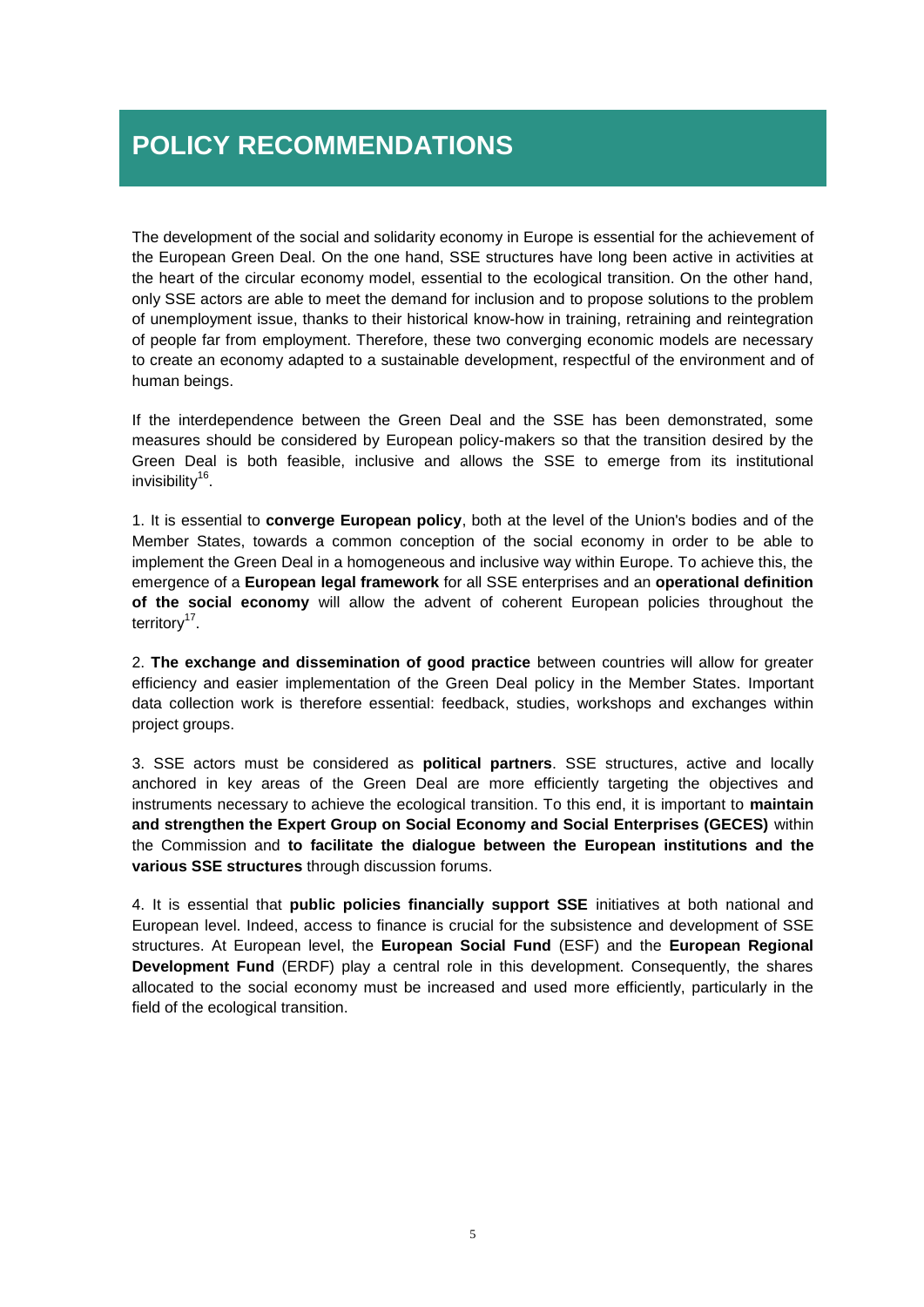## **POLICY RECOMMENDATIONS**

The development of the social and solidarity economy in Europe is essential for the achievement of the European Green Deal. On the one hand, SSE structures have long been active in activities at the heart of the circular economy model, essential to the ecological transition. On the other hand, only SSE actors are able to meet the demand for inclusion and to propose solutions to the problem of unemployment issue, thanks to their historical know-how in training, retraining and reintegration of people far from employment. Therefore, these two converging economic models are necessary to create an economy adapted to a sustainable development, respectful of the environment and of human beings.

If the interdependence between the Green Deal and the SSE has been demonstrated, some measures should be considered by European policy-makers so that the transition desired by the Green Deal is both feasible, inclusive and allows the SSE to emerge from its institutional invisibility<sup>16</sup>.

1. It is essential to **converge European policy**, both at the level of the Union's bodies and of the Member States, towards a common conception of the social economy in order to be able to implement the Green Deal in a homogeneous and inclusive way within Europe. To achieve this, the emergence of a **European legal framework** for all SSE enterprises and an **operational definition of the social economy** will allow the advent of coherent European policies throughout the territory<sup>17</sup>.

2. **The exchange and dissemination of good practice** between countries will allow for greater efficiency and easier implementation of the Green Deal policy in the Member States. Important data collection work is therefore essential: feedback, studies, workshops and exchanges within project groups.

3. SSE actors must be considered as **political partners**. SSE structures, active and locally anchored in key areas of the Green Deal are more efficiently targeting the objectives and instruments necessary to achieve the ecological transition. To this end, it is important to **maintain and strengthen the Expert Group on Social Economy and Social Enterprises (GECES)** within the Commission and **to facilitate the dialogue between the European institutions and the various SSE structures** through discussion forums.

4. It is essential that **public policies financially support SSE** initiatives at both national and European level. Indeed, access to finance is crucial for the subsistence and development of SSE structures. At European level, the **European Social Fund** (ESF) and the **European Regional Development Fund** (ERDF) play a central role in this development. Consequently, the shares allocated to the social economy must be increased and used more efficiently, particularly in the field of the ecological transition.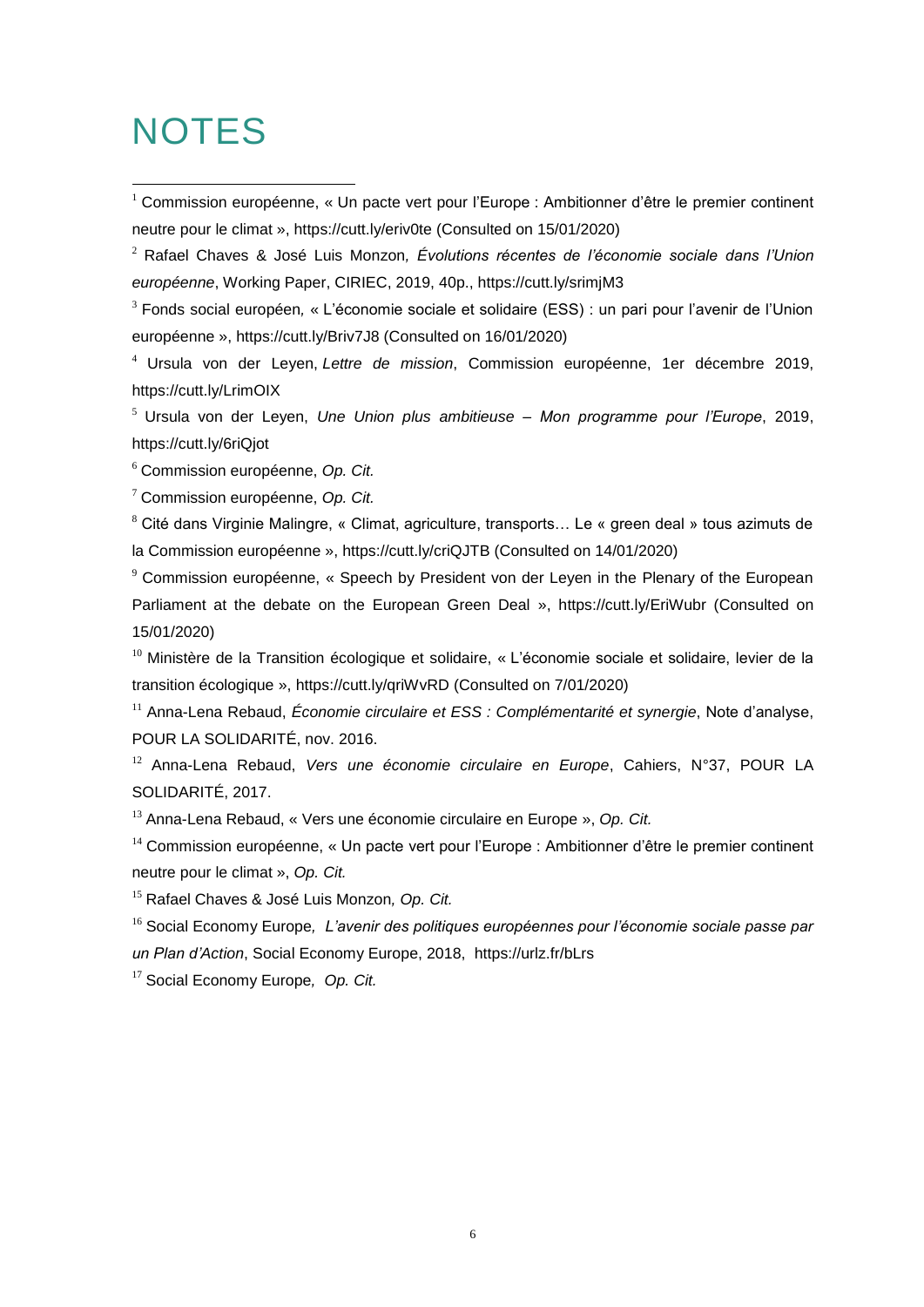# **NOTES**

<u>.</u>

<sup>1</sup> Commission européenne, « Un pacte vert pour l'Europe : Ambitionner d'être le premier continent neutre pour le climat »,<https://cutt.ly/eriv0te> (Consulted on 15/01/2020)

<sup>2</sup> Rafael Chaves & José Luis Monzon*, Évolutions récentes de l'économie sociale dans l'Union européenne*, Working Paper, CIRIEC, 2019, 40p., https://cutt.ly/srimjM3

<sup>3</sup> Fonds social européen*,* « L'économie sociale et solidaire (ESS) : un pari pour l'avenir de l'Union européenne »,<https://cutt.ly/Briv7J8> (Consulted on 16/01/2020)

<sup>4</sup> Ursula von der Leyen, *Lettre de mission*, Commission européenne, 1er décembre 2019, https://cutt.ly/LrimOIX

<sup>5</sup> Ursula von der Leyen, *Une Union plus ambitieuse – Mon programme pour l'Europe*, 2019, https://cutt.ly/6riQjot

<sup>6</sup> Commission européenne, *Op. Cit.*

<sup>7</sup> Commission européenne, *Op. Cit.*

<sup>8</sup> Cité dans Virginie Malingre, « Climat, agriculture, transports… Le « green deal » tous azimuts de la Commission européenne »,<https://cutt.ly/criQJTB> (Consulted on 14/01/2020)

<sup>9</sup> Commission européenne, « Speech by President von der Leyen in the Plenary of the European Parliament at the debate on the European Green Deal », https://cutt.ly/EriWubr (Consulted on 15/01/2020)

<sup>10</sup> Ministère de la Transition écologique et solidaire, « L'économie sociale et solidaire, levier de la transition écologique »,<https://cutt.ly/qriWvRD> (Consulted on 7/01/2020)

<sup>11</sup> Anna-Lena Rebaud, *Économie circulaire et ESS : Complémentarité et synergie*, Note d'analyse, POUR LA SOLIDARITÉ, nov. 2016.

<sup>12</sup> Anna-Lena Rebaud, *Vers une économie circulaire en Europe*, Cahiers, N°37, POUR LA SOLIDARITÉ, 2017.

<sup>13</sup> Anna-Lena Rebaud, « Vers une économie circulaire en Europe », *Op. Cit.*

 $14$  Commission européenne, « Un pacte vert pour l'Europe : Ambitionner d'être le premier continent neutre pour le climat », *Op. Cit.*

<sup>15</sup> Rafael Chaves & José Luis Monzon*, Op. Cit.*

<sup>16</sup> Social Economy Europe*, L'avenir des politiques européennes pour l'économie sociale passe par un Plan d'Action*, Social Economy Europe, 2018, https://urlz.fr/bLrs

<sup>17</sup> Social Economy Europe*, Op. Cit.*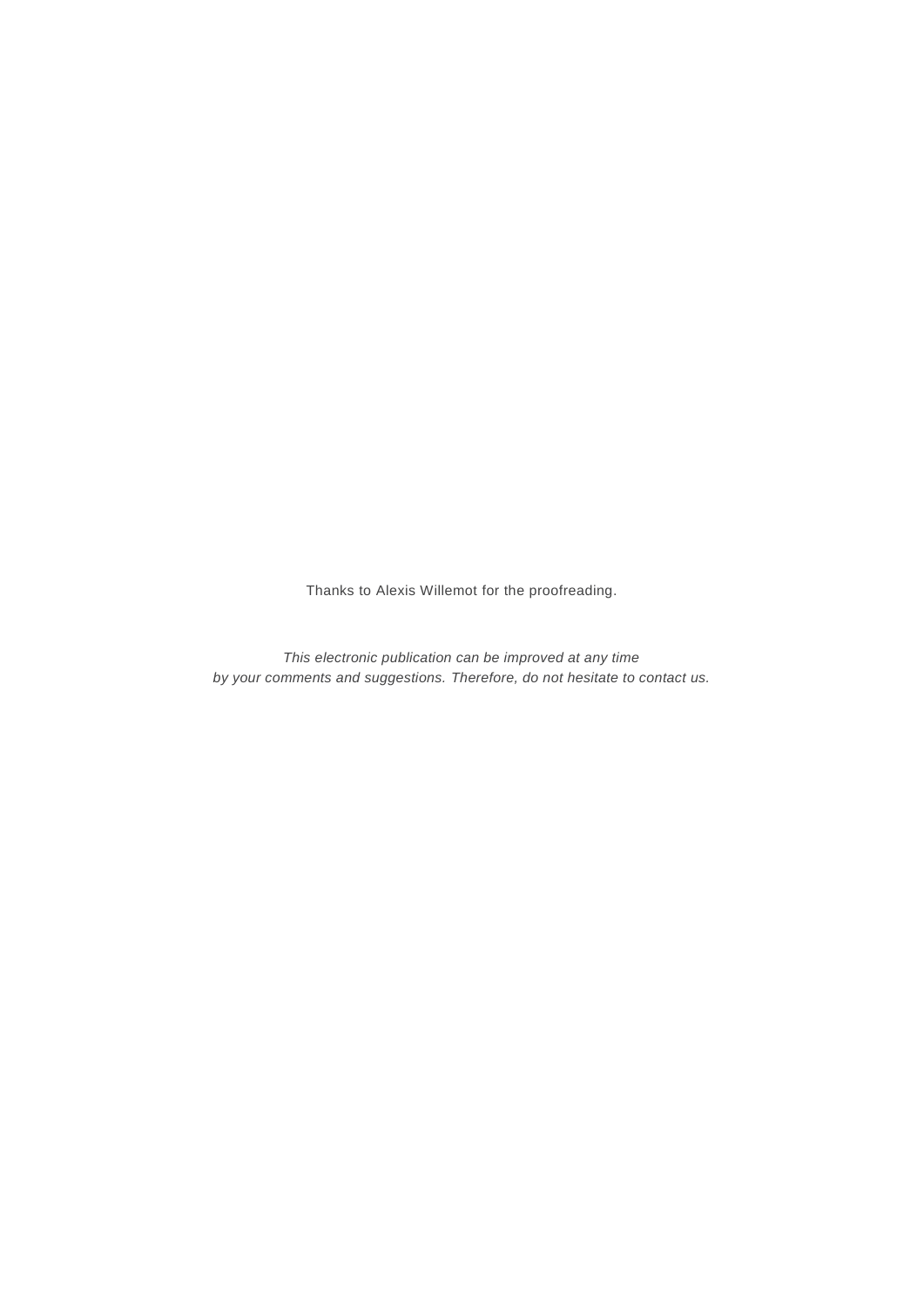Thanks to Alexis Willemot for the proofreading.

*This electronic publication can be improved at any time by your comments and suggestions. Therefore, do not hesitate to contact us.*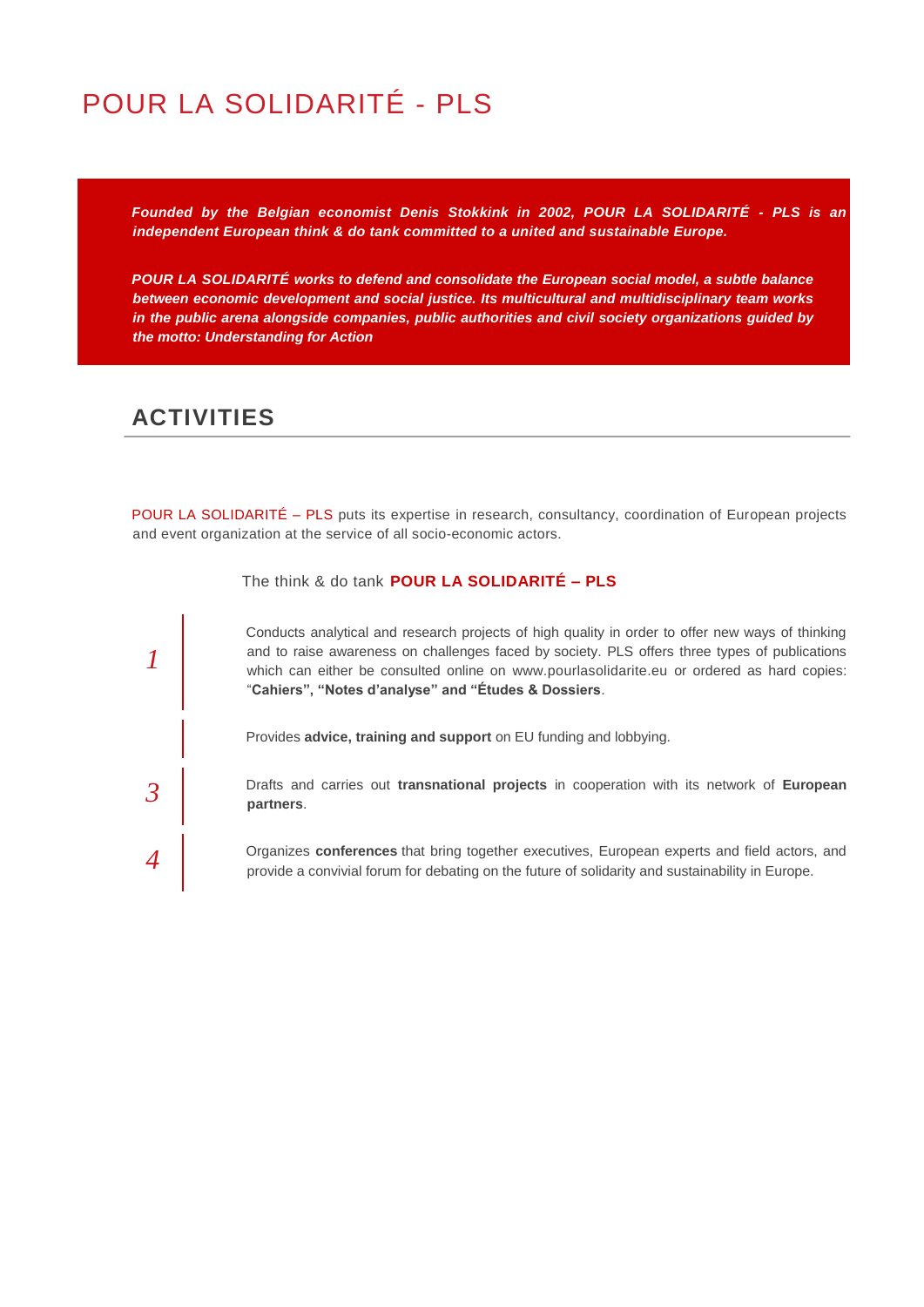# POUR LA SOLIDARITÉ - PLS

*Founded by the Belgian economist Denis Stokkink in 2002, POUR LA SOLIDARITÉ - PLS is an independent European think & do tank committed to a united and sustainable Europe.*

*POUR LA SOLIDARITÉ works to defend and consolidate the European social model, a subtle balance between economic development and social justice. Its multicultural and multidisciplinary team works in the public arena alongside companies, public authorities and civil society organizations guided by the motto: Understanding for Action*

### **ACTIVITIES**

POUR LA SOLIDARITÉ – PLS puts its expertise in research, consultancy, coordination of European projects and event organization at the service of all socio-economic actors.



The think & do tank **POUR LA SOLIDARITÉ – PLS**

Conducts analytical and research projects of high quality in order to offer new ways of thinking and to raise awareness on challenges faced by society. PLS offers three types of publications which can either be consulted online on www.pourlasolidarite.eu or ordered as hard copies: "**Cahiers", "Notes d'analyse" and "Études & Dossiers**.

Provides **advice, training and support** on EU funding and lobbying.

Drafts and carries out **transnational projects** in cooperation with its network of **European partners**.

Organizes **conferences** that bring together executives, European experts and field actors, and provide a convivial forum for debating on the future of solidarity and sustainability in Europe.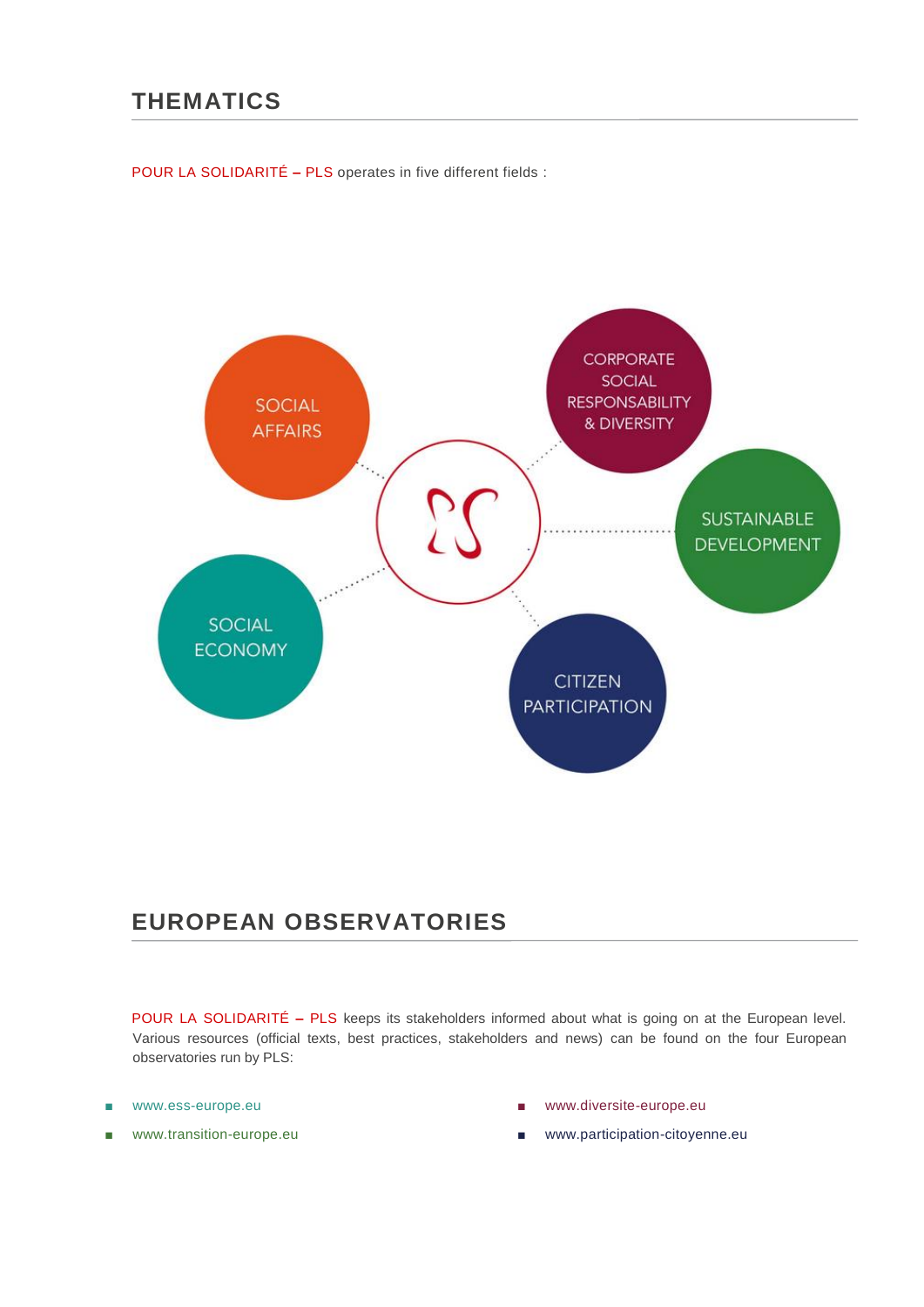### **THEMATICS**

POUR LA SOLIDARITÉ **–** PLS operates in five different fields :



### **EUROPEAN OBSERVATORIES**

POUR LA SOLIDARITÉ **–** PLS keeps its stakeholders informed about what is going on at the European level. Various resources (official texts, best practices, stakeholders and news) can be found on the four European observatories run by PLS:

- www.ess-europe.eu
- www.transition-europe.eu
- www.diversite-europe.eu
- www.participation-citoyenne.eu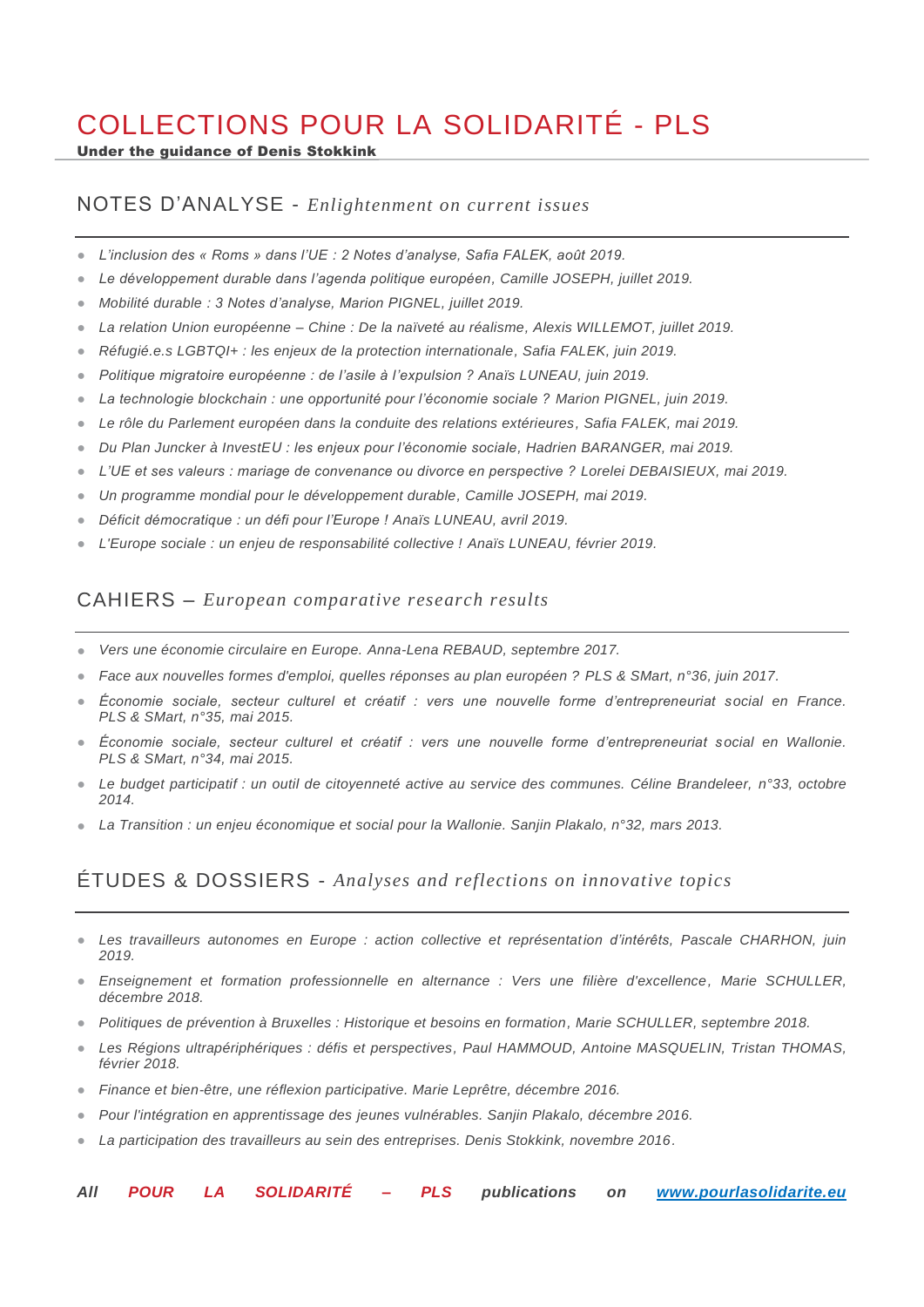# COLLECTIONS POUR LA SOLIDARITÉ - PLS

Under the guidance of Denis Stokkink

### NOTES D'ANALYSE - *Enlightenment on current issues*

- *L'inclusion des « Roms » dans l'UE : 2 Notes d'analyse, Safia FALEK, août 2019.*
- *Le développement durable dans l'agenda politique européen, Camille JOSEPH, juillet 2019.*
- *Mobilité durable : 3 Notes d'analyse, Marion PIGNEL, juillet 2019.*
- *La relation Union européenne – Chine : De la naïveté au réalisme, Alexis WILLEMOT, juillet 2019.*
- *Réfugié.e.s LGBTQI+ : les enjeux de la protection internationale, Safia FALEK, juin 2019.*
- *Politique migratoire européenne : de l'asile à l'expulsion ? Anaïs LUNEAU, juin 2019.*
- *La technologie blockchain : une opportunité pour l'économie sociale ? Marion PIGNEL, juin 2019.*
- *Le rôle du Parlement européen dans la conduite des relations extérieures, Safia FALEK, mai 2019.*
- *Du Plan Juncker à InvestEU : les enjeux pour l'économie sociale, Hadrien BARANGER, mai 2019.*
- *L'UE et ses valeurs : mariage de convenance ou divorce en perspective ? Lorelei DEBAISIEUX, mai 2019.*
- *Un programme mondial pour le développement durable, Camille JOSEPH, mai 2019.*
- *Déficit démocratique : un défi pour l'Europe ! Anaïs LUNEAU, avril 2019.*
- *L'Europe sociale : un enjeu de responsabilité collective ! Anaïs LUNEAU, février 2019.*

### CAHIERS – *European comparative research results*

- *Vers une économie circulaire en Europe. Anna-Lena REBAUD, septembre 2017.*
- *Face aux nouvelles formes d'emploi, quelles réponses au plan européen ? PLS & SMart, n°36, juin 2017.*
- *Économie sociale, secteur culturel et créatif : vers une nouvelle forme d'entrepreneuriat social en France. PLS & SMart, n°35, mai 2015.*
- *Économie sociale, secteur culturel et créatif : vers une nouvelle forme d'entrepreneuriat social en Wallonie. PLS & SMart, n°34, mai 2015.*
- *Le budget participatif : un outil de citoyenneté active au service des communes. Céline Brandeleer, n°33, octobre 2014.*
- *La Transition : un enjeu économique et social pour la Wallonie. Sanjin Plakalo, n°32, mars 2013.*

### ÉTUDES & DOSSIERS - *Analyses and reflections on innovative topics*

- Les travailleurs autonomes en Europe : action collective et représentation d'intérêts, Pascale CHARHON, juin *2019.*
- *Enseignement et formation professionnelle en alternance : Vers une filière d'excellence, Marie SCHULLER, décembre 2018.*
- *Politiques de prévention à Bruxelles : Historique et besoins en formation, Marie SCHULLER, septembre 2018.*
- *Les Régions ultrapériphériques : défis et perspectives, Paul HAMMOUD, Antoine MASQUELIN, Tristan THOMAS, février 2018.*
- *Finance et bien-être, une réflexion participative. Marie Leprêtre, décembre 2016.*
- *Pour l'intégration en apprentissage des jeunes vulnérables. Sanjin Plakalo, décembre 2016.*
- *La participation des travailleurs au sein des entreprises. Denis Stokkink, novembre 2016.*
- *All POUR LA SOLIDARITÉ – PLS publications on [www.pourlasolidarite.eu](http://www.pourlasolidarite.eu/)*